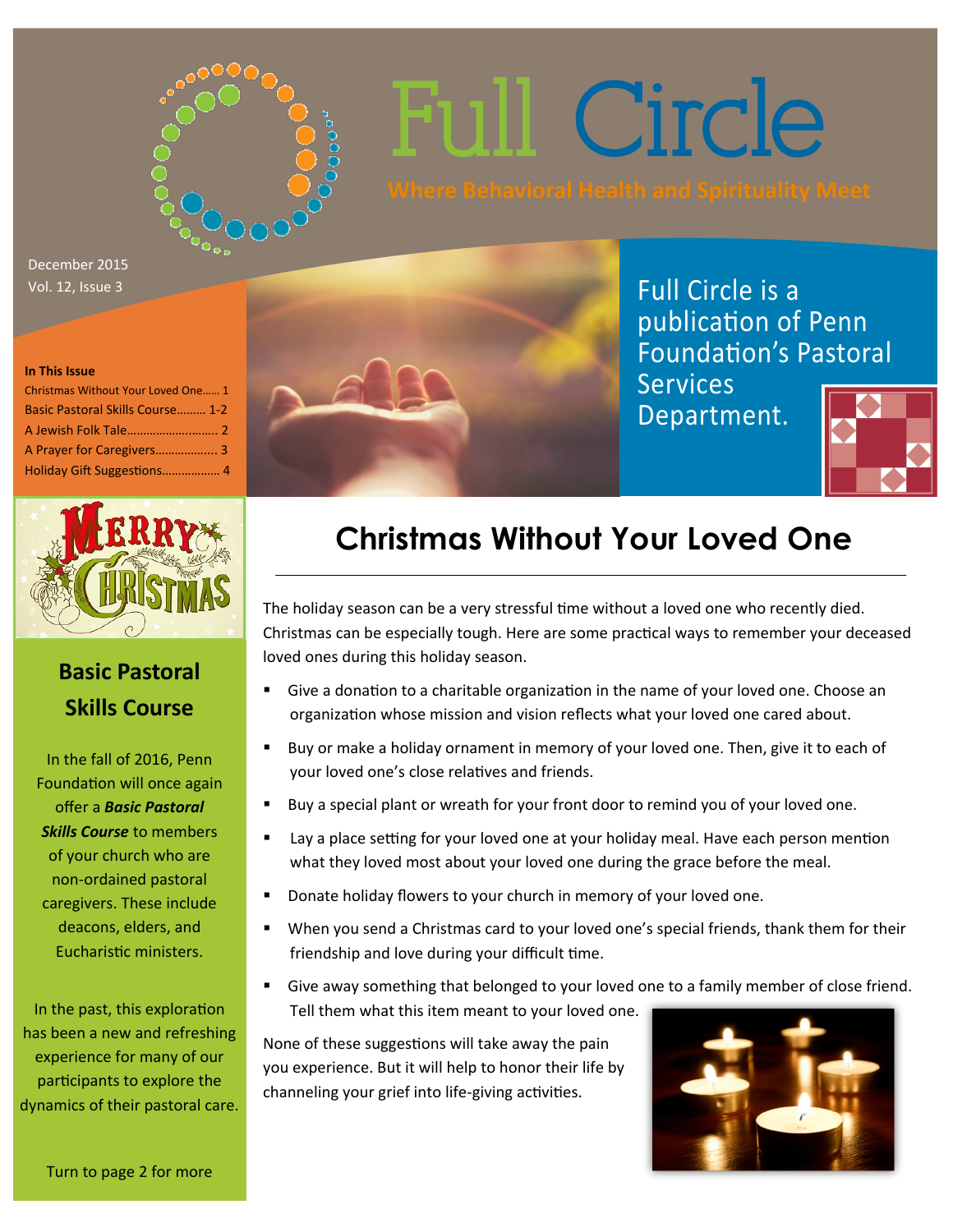

Full Circle

December 2015 Vol. 12, Issue 3

#### **In This Issue**

| Christmas Without Your Loved One 1 |
|------------------------------------|
| Basic Pastoral Skills Course 1-2   |
|                                    |
|                                    |
| Holiday Gift Suggestions 4         |



### **Basic Pastoral Skills Course**

In the fall of 2016, Penn Foundation will once again offer a *Basic Pastoral Skills Course* to members of your church who are non-ordained pastoral caregivers. These include deacons, elders, and Eucharistic ministers.

In the past, this exploration has been a new and refreshing experience for many of our participants to explore the dynamics of their pastoral care.



Full Circle is a publication of Penn Foundation's Pastoral **Services** 

Department.



# **Christmas Without Your Loved One**

The holiday season can be a very stressful time without a loved one who recently died. Christmas can be especially tough. Here are some practical ways to remember your deceased loved ones during this holiday season.

- Give a donation to a charitable organization in the name of your loved one. Choose an organization whose mission and vision reflects what your loved one cared about.
- Buy or make a holiday ornament in memory of your loved one. Then, give it to each of your loved one's close relatives and friends.
- Buy a special plant or wreath for your front door to remind you of your loved one.
- Lay a place setting for your loved one at your holiday meal. Have each person mention what they loved most about your loved one during the grace before the meal.
- Donate holiday flowers to your church in memory of your loved one.
- When you send a Christmas card to your loved one's special friends, thank them for their friendship and love during your difficult time.
- Give away something that belonged to your loved one to a family member of close friend. Tell them what this item meant to your loved one.

None of these suggestions will take away the pain you experience. But it will help to honor their life by channeling your grief into life-giving activities.

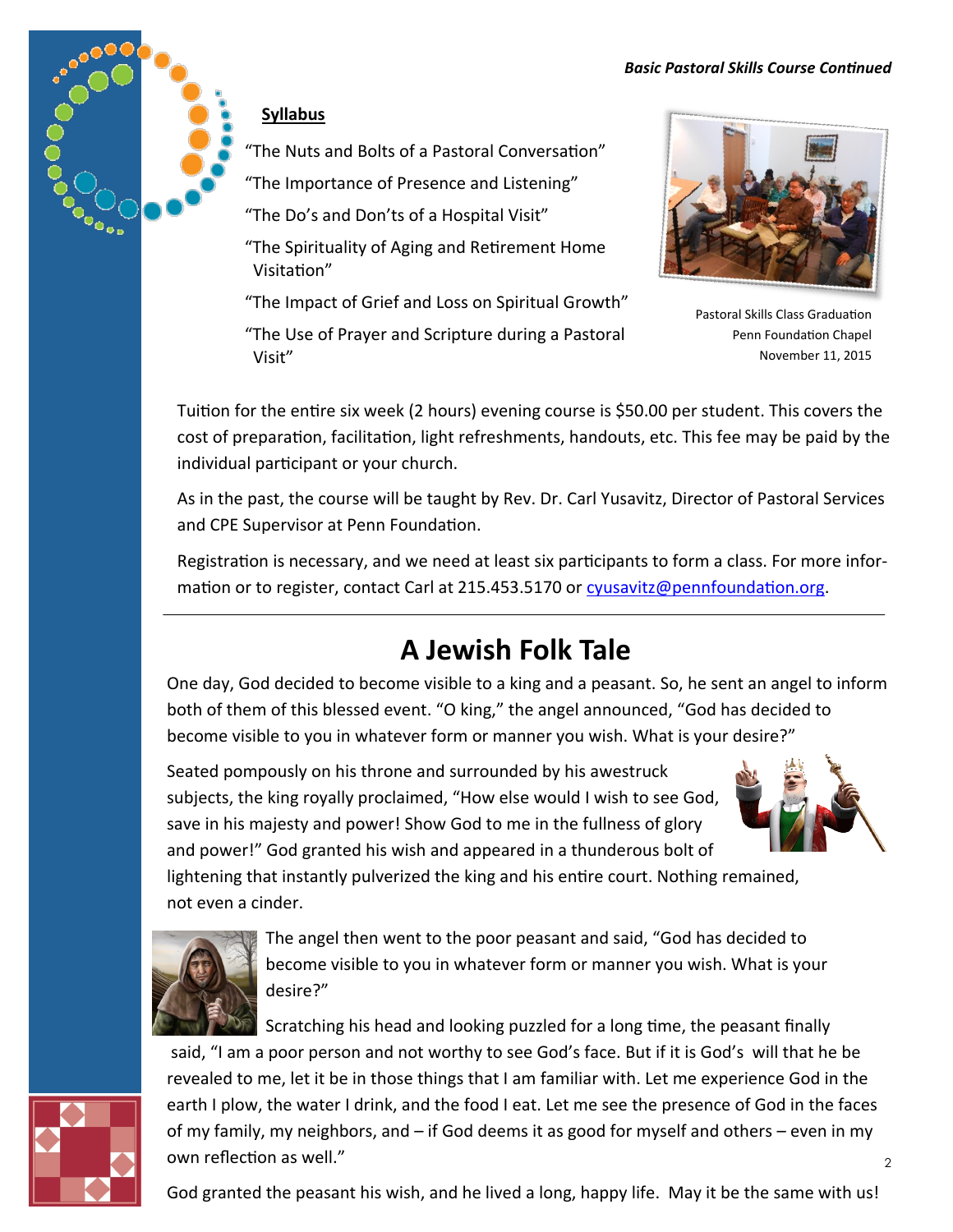#### *Basic Pastoral Skills Course Continued*



### **Syllabus**

"The Nuts and Bolts of a Pastoral Conversation"

"The Importance of Presence and Listening"

"The Do's and Don'ts of a Hospital Visit"

 "The Spirituality of Aging and Retirement Home Visitation"

"The Impact of Grief and Loss on Spiritual Growth"

 "The Use of Prayer and Scripture during a Pastoral Visit"



Pastoral Skills Class Graduation Penn Foundation Chapel November 11, 2015

Tuition for the entire six week (2 hours) evening course is \$50.00 per student. This covers the cost of preparation, facilitation, light refreshments, handouts, etc. This fee may be paid by the individual participant or your church.

As in the past, the course will be taught by Rev. Dr. Carl Yusavitz, Director of Pastoral Services and CPE Supervisor at Penn Foundation.

Registration is necessary, and we need at least six participants to form a class. For more information or to register, contact Carl at 215.453.5170 or [cyusavitz@pennfoundation.org.](mailto:cyusavitz@pennfoundation.org)

## **A Jewish Folk Tale**

One day, God decided to become visible to a king and a peasant. So, he sent an angel to inform both of them of this blessed event. "O king," the angel announced, "God has decided to become visible to you in whatever form or manner you wish. What is your desire?"

Seated pompously on his throne and surrounded by his awestruck subjects, the king royally proclaimed, "How else would I wish to see God, save in his majesty and power! Show God to me in the fullness of glory and power!" God granted his wish and appeared in a thunderous bolt of



lightening that instantly pulverized the king and his entire court. Nothing remained, not even a cinder.



The angel then went to the poor peasant and said, "God has decided to become visible to you in whatever form or manner you wish. What is your desire?"

Scratching his head and looking puzzled for a long time, the peasant finally said, "I am a poor person and not worthy to see God's face. But if it is God's will that he be revealed to me, let it be in those things that I am familiar with. Let me experience God in the



of my family, my neighbors, and – if God deems it as good for myself and others – even in my own reflection as well."

earth I plow, the water I drink, and the food I eat. Let me see the presence of God in the faces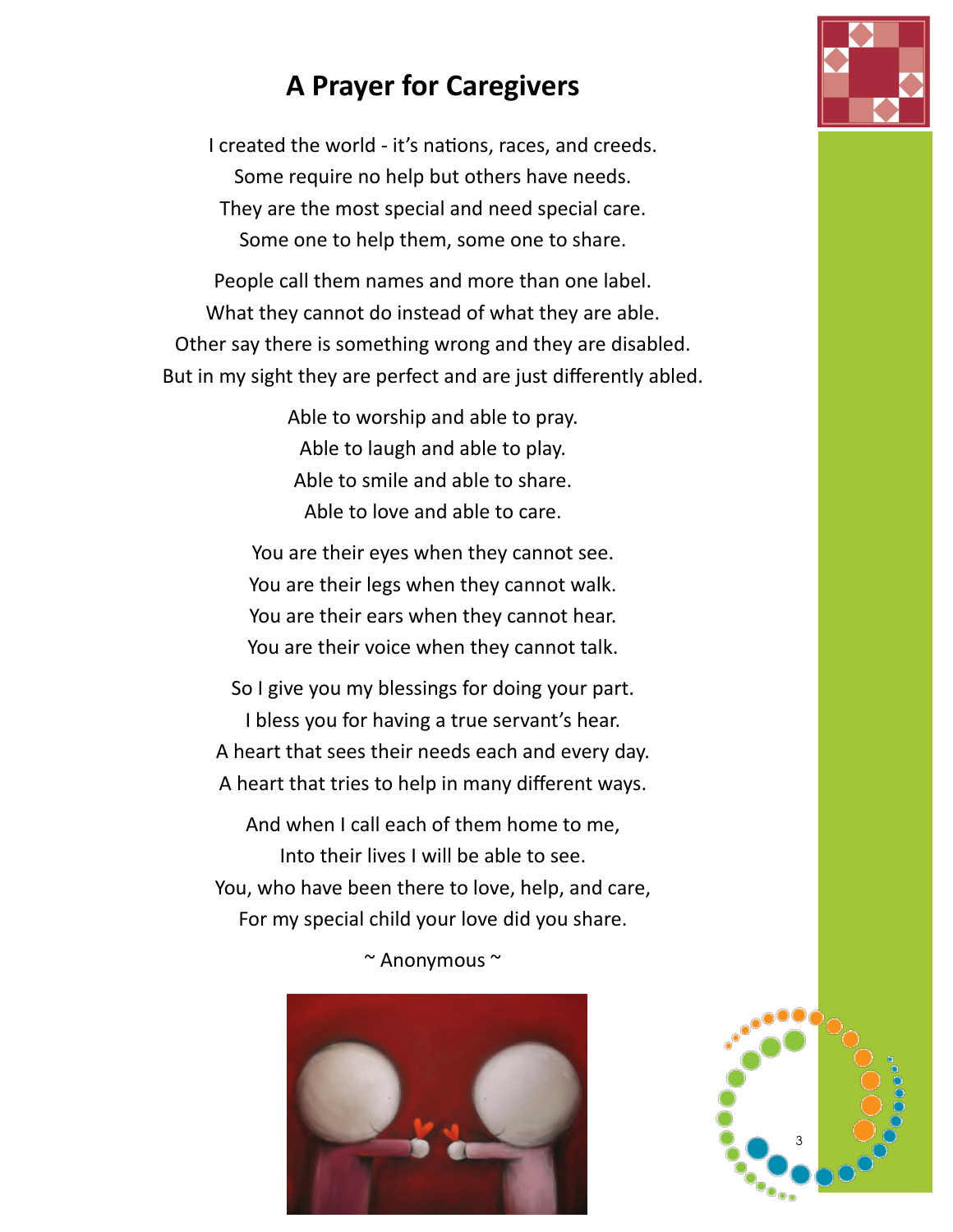### **A Prayer for Caregivers**

I created the world - it's nations, races, and creeds. Some require no help but others have needs. They are the most special and need special care. Some one to help them, some one to share.

People call them names and more than one label. What they cannot do instead of what they are able. Other say there is something wrong and they are disabled. But in my sight they are perfect and are just differently abled.

> Able to worship and able to pray. Able to laugh and able to play. Able to smile and able to share. Able to love and able to care.

You are their eyes when they cannot see. You are their legs when they cannot walk. You are their ears when they cannot hear. You are their voice when they cannot talk.

So I give you my blessings for doing your part. I bless you for having a true servant's hear. A heart that sees their needs each and every day. A heart that tries to help in many different ways.

And when I call each of them home to me, Into their lives I will be able to see. You, who have been there to love, help, and care, For my special child your love did you share.

~ Anonymous ~